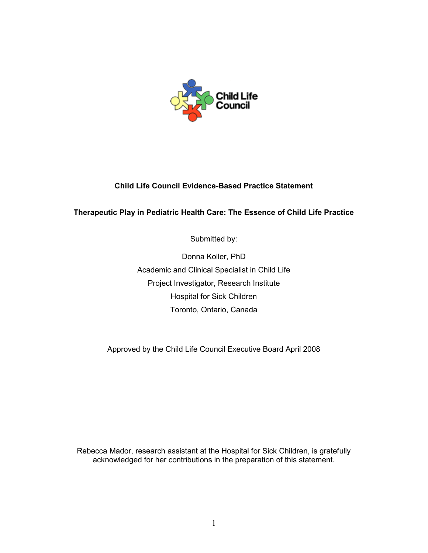

### **Child Life Council Evidence-Based Practice Statement**

### **Therapeutic Play in Pediatric Health Care: The Essence of Child Life Practice**

Submitted by:

Donna Koller, PhD Academic and Clinical Specialist in Child Life Project Investigator, Research Institute Hospital for Sick Children Toronto, Ontario, Canada

Approved by the Child Life Council Executive Board April 2008

Rebecca Mador, research assistant at the Hospital for Sick Children, is gratefully acknowledged for her contributions in the preparation of this statement.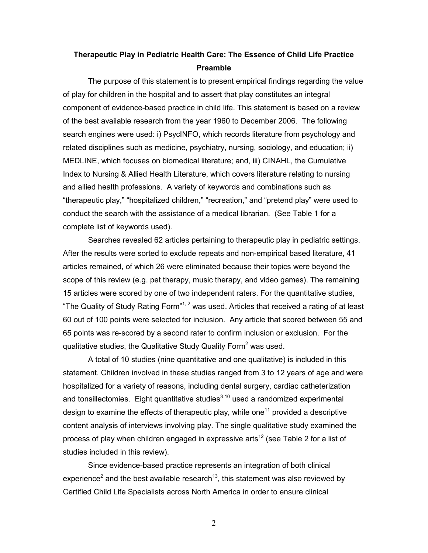# **Therapeutic Play in Pediatric Health Care: The Essence of Child Life Practice Preamble**

The purpose of this statement is to present empirical findings regarding the value of play for children in the hospital and to assert that play constitutes an integral component of evidence-based practice in child life. This statement is based on a review of the best available research from the year 1960 to December 2006. The following search engines were used: i) PsycINFO, which records literature from psychology and related disciplines such as medicine, psychiatry, nursing, sociology, and education; ii) MEDLINE, which focuses on biomedical literature; and, iii) CINAHL, the Cumulative Index to Nursing & Allied Health Literature, which covers literature relating to nursing and allied health professions. A variety of keywords and combinations such as "therapeutic play," "hospitalized children," "recreation," and "pretend play" were used to conduct the search with the assistance of a medical librarian. (See Table 1 for a complete list of keywords used).

Searches revealed 62 articles pertaining to therapeutic play in pediatric settings. After the results were sorted to exclude repeats and non-empirical based literature, 41 articles remained, of which 26 were eliminated because their topics were beyond the scope of this review (e.g. pet therapy, music therapy, and video games). The remaining 15 articles were scored by one of two independent raters. For the quantitative studies, "The Quality of Study Rating Form"<sup>1, 2</sup> was used. Articles that received a rating of at least 60 out of 100 points were selected for inclusion. Any article that scored between 55 and 65 points was re-scored by a second rater to confirm inclusion or exclusion. For the qualitative studies, the Qualitative Study Quality Form<sup>2</sup> was used.

A total of 10 studies (nine quantitative and one qualitative) is included in this statement. Children involved in these studies ranged from 3 to 12 years of age and were hospitalized for a variety of reasons, including dental surgery, cardiac catheterization and tonsillectomies. Eight quantitative studies $3-10$  used a randomized experimental design to examine the effects of therapeutic play, while one<sup>11</sup> provided a descriptive content analysis of interviews involving play. The single qualitative study examined the process of play when children engaged in expressive arts<sup>12</sup> (see Table 2 for a list of studies included in this review).

Since evidence-based practice represents an integration of both clinical experience<sup>2</sup> and the best available research<sup>13</sup>, this statement was also reviewed by Certified Child Life Specialists across North America in order to ensure clinical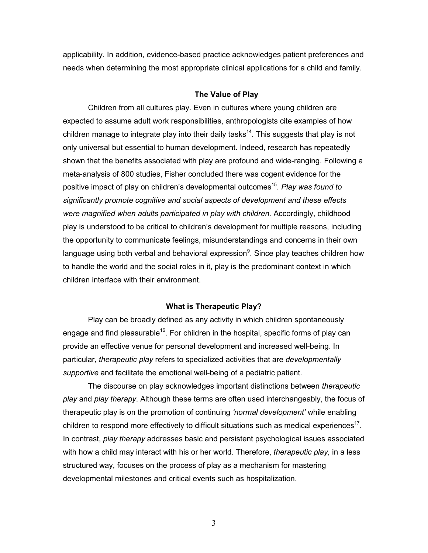applicability. In addition, evidence-based practice acknowledges patient preferences and needs when determining the most appropriate clinical applications for a child and family.

#### **The Value of Play**

Children from all cultures play. Even in cultures where young children are expected to assume adult work responsibilities, anthropologists cite examples of how children manage to integrate play into their daily tasks<sup>14</sup>. This suggests that play is not only universal but essential to human development. Indeed, research has repeatedly shown that the benefits associated with play are profound and wide-ranging. Following a meta-analysis of 800 studies, Fisher concluded there was cogent evidence for the positive impact of play on children's developmental outcomes<sup>15</sup>. Play was found to *significantly promote cognitive and social aspects of development and these effects were magnified when adults participated in play with children.* Accordingly, childhood play is understood to be critical to children's development for multiple reasons, including the opportunity to communicate feelings, misunderstandings and concerns in their own language using both verbal and behavioral expression<sup>9</sup>. Since play teaches children how to handle the world and the social roles in it, play is the predominant context in which children interface with their environment.

#### **What is Therapeutic Play?**

Play can be broadly defined as any activity in which children spontaneously engage and find pleasurable<sup>16</sup>. For children in the hospital, specific forms of play can provide an effective venue for personal development and increased well-being. In particular, *therapeutic play* refers to specialized activities that are *developmentally supportive* and facilitate the emotional well-being of a pediatric patient.

The discourse on play acknowledges important distinctions between *therapeutic play* and *play therapy*. Although these terms are often used interchangeably, the focus of therapeutic play is on the promotion of continuing *'normal development'* while enabling children to respond more effectively to difficult situations such as medical experiences<sup>17</sup>. In contrast, *play therapy* addresses basic and persistent psychological issues associated with how a child may interact with his or her world. Therefore, *therapeutic play,* in a less structured way, focuses on the process of play as a mechanism for mastering developmental milestones and critical events such as hospitalization.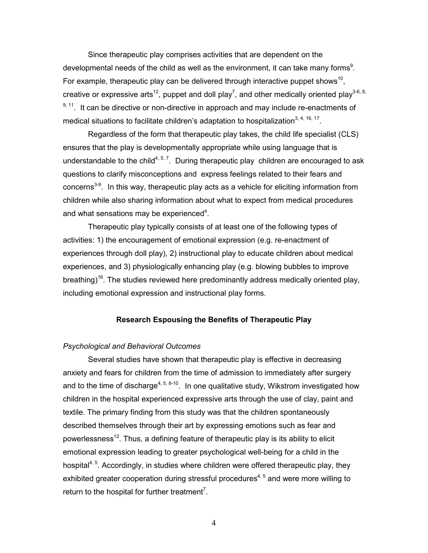Since therapeutic play comprises activities that are dependent on the developmental needs of the child as well as the environment, it can take many forms<sup>9</sup>. For example, therapeutic play can be delivered through interactive puppet shows<sup>10</sup>, creative or expressive arts<sup>12</sup>, puppet and doll play<sup>7</sup>, and other medically oriented play<sup>3-6, 8,</sup>  $9,11$ . It can be directive or non-directive in approach and may include re-enactments of medical situations to facilitate children's adaptation to hospitalization $3, 4, 16, 17$ .

Regardless of the form that therapeutic play takes, the child life specialist (CLS) ensures that the play is developmentally appropriate while using language that is understandable to the child<sup>4, 5, 7</sup>. During therapeutic play children are encouraged to ask questions to clarify misconceptions and express feelings related to their fears and concerns<sup>3-9</sup>. In this way, therapeutic play acts as a vehicle for eliciting information from children while also sharing information about what to expect from medical procedures and what sensations may be experienced<sup>4</sup>.

Therapeutic play typically consists of at least one of the following types of activities: 1) the encouragement of emotional expression (e.g. re-enactment of experiences through doll play), 2) instructional play to educate children about medical experiences, and 3) physiologically enhancing play (e.g. blowing bubbles to improve breathing)<sup>16</sup>. The studies reviewed here predominantly address medically oriented play, including emotional expression and instructional play forms.

### **Research Espousing the Benefits of Therapeutic Play**

#### *Psychological and Behavioral Outcomes*

Several studies have shown that therapeutic play is effective in decreasing anxiety and fears for children from the time of admission to immediately after surgery and to the time of discharge<sup>4, 5, 8-10</sup>. In one qualitative study, Wikstrom investigated how children in the hospital experienced expressive arts through the use of clay, paint and textile. The primary finding from this study was that the children spontaneously described themselves through their art by expressing emotions such as fear and powerlessness<sup>12</sup>. Thus, a defining feature of therapeutic play is its ability to elicit emotional expression leading to greater psychological well-being for a child in the hospital<sup>4, 5</sup>. Accordingly, in studies where children were offered therapeutic play, they exhibited greater cooperation during stressful procedures<sup>4, 5</sup> and were more willing to return to the hospital for further treatment<sup>7</sup>.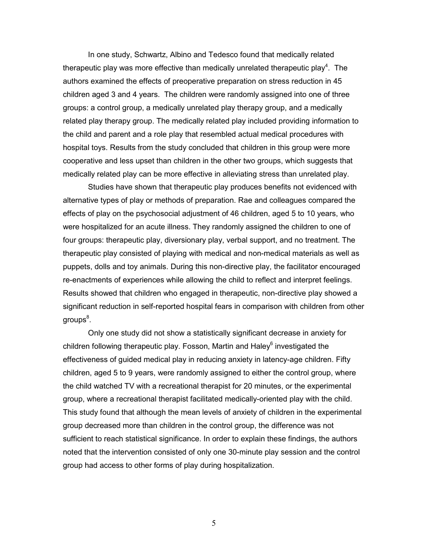In one study, Schwartz, Albino and Tedesco found that medically related therapeutic play was more effective than medically unrelated therapeutic play<sup>4</sup>. The authors examined the effects of preoperative preparation on stress reduction in 45 children aged 3 and 4 years. The children were randomly assigned into one of three groups: a control group, a medically unrelated play therapy group, and a medically related play therapy group. The medically related play included providing information to the child and parent and a role play that resembled actual medical procedures with hospital toys. Results from the study concluded that children in this group were more cooperative and less upset than children in the other two groups, which suggests that medically related play can be more effective in alleviating stress than unrelated play.

Studies have shown that therapeutic play produces benefits not evidenced with alternative types of play or methods of preparation. Rae and colleagues compared the effects of play on the psychosocial adjustment of 46 children, aged 5 to 10 years, who were hospitalized for an acute illness. They randomly assigned the children to one of four groups: therapeutic play, diversionary play, verbal support, and no treatment. The therapeutic play consisted of playing with medical and non-medical materials as well as puppets, dolls and toy animals. During this non-directive play, the facilitator encouraged re-enactments of experiences while allowing the child to reflect and interpret feelings. Results showed that children who engaged in therapeutic, non-directive play showed a significant reduction in self-reported hospital fears in comparison with children from other groups $^8$ .

Only one study did not show a statistically significant decrease in anxiety for children following therapeutic play. Fosson, Martin and Haley<sup>6</sup> investigated the effectiveness of guided medical play in reducing anxiety in latency-age children. Fifty children, aged 5 to 9 years, were randomly assigned to either the control group, where the child watched TV with a recreational therapist for 20 minutes, or the experimental group, where a recreational therapist facilitated medically-oriented play with the child. This study found that although the mean levels of anxiety of children in the experimental group decreased more than children in the control group, the difference was not sufficient to reach statistical significance. In order to explain these findings, the authors noted that the intervention consisted of only one 30-minute play session and the control group had access to other forms of play during hospitalization.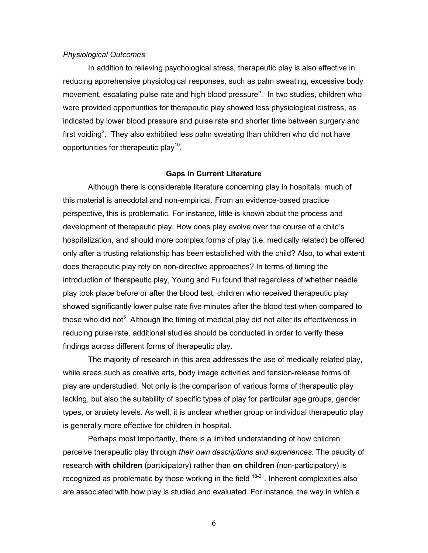#### *Physiological Outcomes*

In addition to relieving psychological stress, therapeutic play is also effective in reducing apprehensive physiological responses, such as palm sweating, excessive body movement, escalating pulse rate and high blood pressure<sup>5</sup>. In two studies, children who were provided opportunities for therapeutic play showed less physiological distress, as indicated by lower blood pressure and pulse rate and shorter time between surgery and first voiding<sup>3</sup>. They also exhibited less palm sweating than children who did not have opportunities for therapeutic play<sup>10</sup>.

### **Gaps in Current Literature**

Although there is considerable literature concerning play in hospitals, much of this material is anecdotal and non-empirical. From an evidence-based practice perspective, this is problematic. For instance, little is known about the process and development of therapeutic play. How does play evolve over the course of a child's hospitalization, and should more complex forms of play (i.e. medically related) be offered only after a trusting relationship has been established with the child? Also, to what extent does therapeutic play rely on non-directive approaches? In terms of timing the introduction of therapeutic play, Young and Fu found that regardless of whether needle play took place before or after the blood test, children who received therapeutic play showed significantly lower pulse rate five minutes after the blood test when compared to those who did not<sup>3</sup>. Although the timing of medical play did not alter its effectiveness in reducing pulse rate, additional studies should be conducted in order to verify these findings across different forms of therapeutic play.

The majority of research in this area addresses the use of medically related play, while areas such as creative arts, body image activities and tension-release forms of play are understudied. Not only is the comparison of various forms of therapeutic play lacking, but also the suitability of specific types of play for particular age groups, gender types, or anxiety levels. As well, it is unclear whether group or individual therapeutic play is generally more effective for children in hospital.

Perhaps most importantly, there is a limited understanding of how children perceive therapeutic play through *their own descriptions and experiences*. The paucity of research **with children** (participatory) rather than **on children** (non-participatory) is recognized as problematic by those working in the field  $18-21$ . Inherent complexities also are associated with how play is studied and evaluated. For instance, the way in which a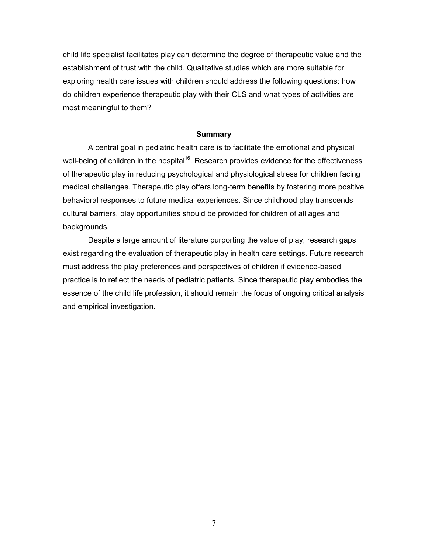child life specialist facilitates play can determine the degree of therapeutic value and the establishment of trust with the child. Qualitative studies which are more suitable for exploring health care issues with children should address the following questions: how do children experience therapeutic play with their CLS and what types of activities are most meaningful to them?

#### **Summary**

A central goal in pediatric health care is to facilitate the emotional and physical well-being of children in the hospital<sup>16</sup>. Research provides evidence for the effectiveness of therapeutic play in reducing psychological and physiological stress for children facing medical challenges. Therapeutic play offers long-term benefits by fostering more positive behavioral responses to future medical experiences. Since childhood play transcends cultural barriers, play opportunities should be provided for children of all ages and backgrounds.

Despite a large amount of literature purporting the value of play, research gaps exist regarding the evaluation of therapeutic play in health care settings. Future research must address the play preferences and perspectives of children if evidence-based practice is to reflect the needs of pediatric patients. Since therapeutic play embodies the essence of the child life profession, it should remain the focus of ongoing critical analysis and empirical investigation.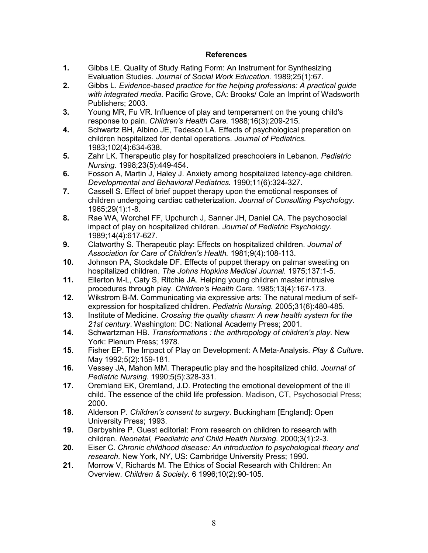### **References**

- **1.** Gibbs LE. Quality of Study Rating Form: An Instrument for Synthesizing Evaluation Studies. *Journal of Social Work Education.* 1989;25(1):67.
- **2.** Gibbs L. *Evidence-based practice for the helping professions: A practical guide with integrated media*. Pacific Grove, CA: Brooks/ Cole an Imprint of Wadsworth Publishers; 2003.
- **3.** Young MR, Fu VR. Influence of play and temperament on the young child's response to pain. *Children's Health Care.* 1988;16(3):209-215.
- **4.** Schwartz BH, Albino JE, Tedesco LA. Effects of psychological preparation on children hospitalized for dental operations. *Journal of Pediatrics.*  1983;102(4):634-638.
- **5.** Zahr LK. Therapeutic play for hospitalized preschoolers in Lebanon. *Pediatric Nursing.* 1998;23(5):449-454.
- **6.** Fosson A, Martin J, Haley J. Anxiety among hospitalized latency-age children. *Developmental and Behavioral Pediatrics.* 1990;11(6):324-327.
- **7.** Cassell S. Effect of brief puppet therapy upon the emotional responses of children undergoing cardiac catheterization. *Journal of Consulting Psychology.*  1965;29(1):1-8.
- **8.** Rae WA, Worchel FF, Upchurch J, Sanner JH, Daniel CA. The psychosocial impact of play on hospitalized children. *Journal of Pediatric Psychology.*  1989;14(4):617-627.
- **9.** Clatworthy S. Therapeutic play: Effects on hospitalized children. *Journal of Association for Care of Children's Health.* 1981;9(4):108-113.
- **10.** Johnson PA, Stockdale DF. Effects of puppet therapy on palmar sweating on hospitalized children. *The Johns Hopkins Medical Journal.* 1975;137:1-5.
- **11.** Ellerton M-L, Caty S, Ritchie JA. Helping young children master intrusive procedures through play. *Children's Health Care.* 1985;13(4):167-173.
- **12.** Wikstrom B-M. Communicating via expressive arts: The natural medium of selfexpression for hospitalized children. *Pediatric Nursing.* 2005;31(6):480-485.
- **13.** Institute of Medicine. *Crossing the quality chasm: A new health system for the 21st century*. Washington: DC: National Academy Press; 2001.
- **14.** Schwartzman HB. *Transformations : the anthropology of children's play*. New York: Plenum Press; 1978.
- **15.** Fisher EP. The Impact of Play on Development: A Meta-Analysis. *Play & Culture.*  May 1992;5(2):159-181.
- **16.** Vessey JA, Mahon MM. Therapeutic play and the hospitalized child. *Journal of Pediatric Nursing.* 1990;5(5):328-331.
- **17.** Oremland EK, Oremland, J.D. Protecting the emotional development of the ill child. The essence of the child life profession. Madison, CT, Psychosocial Press; 2000.
- **18.** Alderson P. *Children's consent to surgery*. Buckingham [England]: Open University Press; 1993.
- **19.** Darbyshire P. Guest editorial: From research on children to research with children. *Neonatal, Paediatric and Child Health Nursing.* 2000;3(1):2-3.
- **20.** Eiser C. *Chronic childhood disease: An introduction to psychological theory and research*. New York, NY, US: Cambridge University Press; 1990.
- **21.** Morrow V, Richards M. The Ethics of Social Research with Children: An Overview. *Children & Society.* 6 1996;10(2):90-105.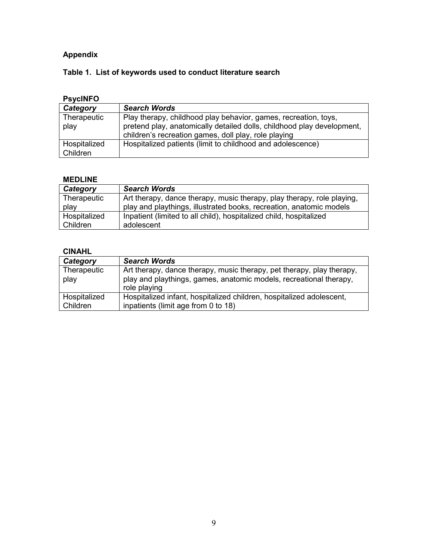# **Appendix**

## **Table 1. List of keywords used to conduct literature search**

# **PsycINFO**

| Category                 | <b>Search Words</b>                                                                                                                                                                               |  |
|--------------------------|---------------------------------------------------------------------------------------------------------------------------------------------------------------------------------------------------|--|
| Therapeutic<br>play      | Play therapy, childhood play behavior, games, recreation, toys,<br>pretend play, anatomically detailed dolls, childhood play development,<br>children's recreation games, doll play, role playing |  |
| Hospitalized<br>Children | Hospitalized patients (limit to childhood and adolescence)                                                                                                                                        |  |

## **MEDLINE**

| Category     | <b>Search Words</b>                                                    |  |
|--------------|------------------------------------------------------------------------|--|
| Therapeutic  | Art therapy, dance therapy, music therapy, play therapy, role playing, |  |
| play         | play and playthings, illustrated books, recreation, anatomic models    |  |
| Hospitalized | Inpatient (limited to all child), hospitalized child, hospitalized     |  |
| Children     | adolescent                                                             |  |

## **CINAHL**

| Category                 | <b>Search Words</b>                                                                                                                                         |  |
|--------------------------|-------------------------------------------------------------------------------------------------------------------------------------------------------------|--|
| Therapeutic<br>play      | Art therapy, dance therapy, music therapy, pet therapy, play therapy,<br>play and playthings, games, anatomic models, recreational therapy,<br>role playing |  |
| Hospitalized<br>Children | Hospitalized infant, hospitalized children, hospitalized adolescent,<br>inpatients (limit age from 0 to 18)                                                 |  |